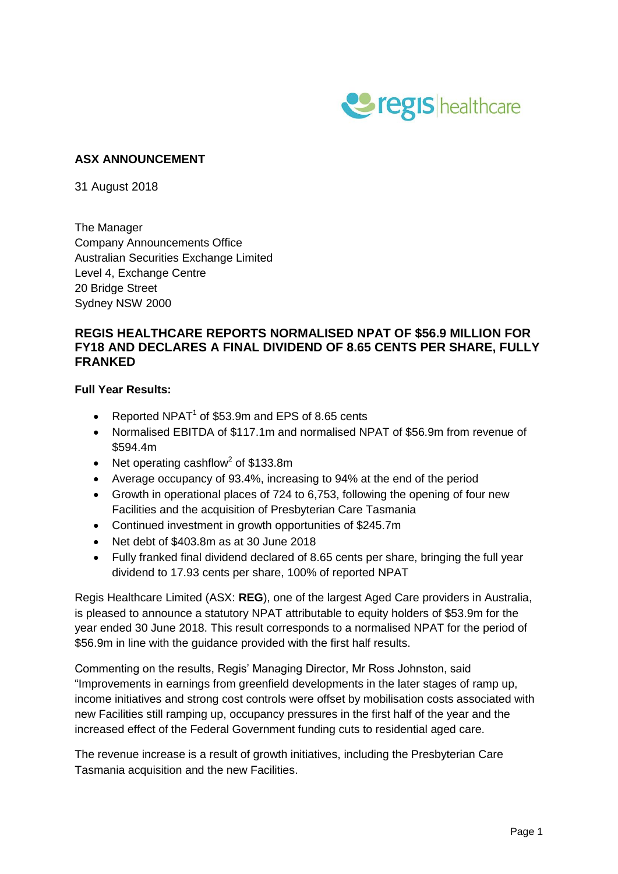

## **ASX ANNOUNCEMENT**

31 August 2018

The Manager Company Announcements Office Australian Securities Exchange Limited Level 4, Exchange Centre 20 Bridge Street Sydney NSW 2000

### **REGIS HEALTHCARE REPORTS NORMALISED NPAT OF \$56.9 MILLION FOR FY18 AND DECLARES A FINAL DIVIDEND OF 8.65 CENTS PER SHARE, FULLY FRANKED**

#### **Full Year Results:**

- Reported NPAT $<sup>1</sup>$  of \$53.9m and EPS of 8.65 cents</sup>
- Normalised EBITDA of \$117.1m and normalised NPAT of \$56.9m from revenue of \$594.4m
- Net operating cashflow<sup>2</sup> of \$133.8m
- Average occupancy of 93.4%, increasing to 94% at the end of the period
- Growth in operational places of 724 to 6,753, following the opening of four new Facilities and the acquisition of Presbyterian Care Tasmania
- Continued investment in growth opportunities of \$245.7m
- Net debt of \$403.8m as at 30 June 2018
- Fully franked final dividend declared of 8.65 cents per share, bringing the full year dividend to 17.93 cents per share, 100% of reported NPAT

Regis Healthcare Limited (ASX: **REG**), one of the largest Aged Care providers in Australia, is pleased to announce a statutory NPAT attributable to equity holders of \$53.9m for the year ended 30 June 2018. This result corresponds to a normalised NPAT for the period of \$56.9m in line with the guidance provided with the first half results.

Commenting on the results, Regis' Managing Director, Mr Ross Johnston, said "Improvements in earnings from greenfield developments in the later stages of ramp up, income initiatives and strong cost controls were offset by mobilisation costs associated with new Facilities still ramping up, occupancy pressures in the first half of the year and the increased effect of the Federal Government funding cuts to residential aged care.

The revenue increase is a result of growth initiatives, including the Presbyterian Care Tasmania acquisition and the new Facilities.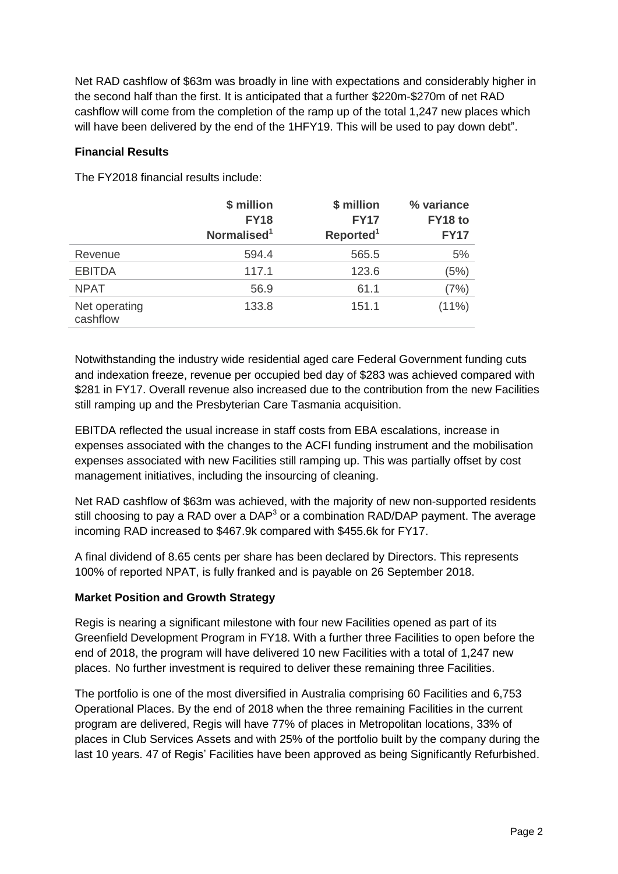Net RAD cashflow of \$63m was broadly in line with expectations and considerably higher in the second half than the first. It is anticipated that a further \$220m-\$270m of net RAD cashflow will come from the completion of the ramp up of the total 1,247 new places which will have been delivered by the end of the 1HFY19. This will be used to pay down debt".

## **Financial Results**

The FY2018 financial results include:

|                           | \$ million<br><b>FY18</b><br>Normalised <sup>1</sup> | \$ million<br><b>FY17</b><br>Reported <sup>1</sup> | % variance<br>FY18 to<br><b>FY17</b> |
|---------------------------|------------------------------------------------------|----------------------------------------------------|--------------------------------------|
| Revenue                   | 594.4                                                | 565.5                                              | 5%                                   |
| <b>EBITDA</b>             | 117.1                                                | 123.6                                              | (5%)                                 |
| <b>NPAT</b>               | 56.9                                                 | 61.1                                               | (7%)                                 |
| Net operating<br>cashflow | 133.8                                                | 151.1                                              | $(11\%)$                             |

Notwithstanding the industry wide residential aged care Federal Government funding cuts and indexation freeze, revenue per occupied bed day of \$283 was achieved compared with \$281 in FY17. Overall revenue also increased due to the contribution from the new Facilities still ramping up and the Presbyterian Care Tasmania acquisition.

EBITDA reflected the usual increase in staff costs from EBA escalations, increase in expenses associated with the changes to the ACFI funding instrument and the mobilisation expenses associated with new Facilities still ramping up. This was partially offset by cost management initiatives, including the insourcing of cleaning.

Net RAD cashflow of \$63m was achieved, with the majority of new non-supported residents still choosing to pay a RAD over a DAP<sup>3</sup> or a combination RAD/DAP payment. The average incoming RAD increased to \$467.9k compared with \$455.6k for FY17.

A final dividend of 8.65 cents per share has been declared by Directors. This represents 100% of reported NPAT, is fully franked and is payable on 26 September 2018.

#### **Market Position and Growth Strategy**

Regis is nearing a significant milestone with four new Facilities opened as part of its Greenfield Development Program in FY18. With a further three Facilities to open before the end of 2018, the program will have delivered 10 new Facilities with a total of 1,247 new places. No further investment is required to deliver these remaining three Facilities.

The portfolio is one of the most diversified in Australia comprising 60 Facilities and 6,753 Operational Places. By the end of 2018 when the three remaining Facilities in the current program are delivered, Regis will have 77% of places in Metropolitan locations, 33% of places in Club Services Assets and with 25% of the portfolio built by the company during the last 10 years. 47 of Regis' Facilities have been approved as being Significantly Refurbished.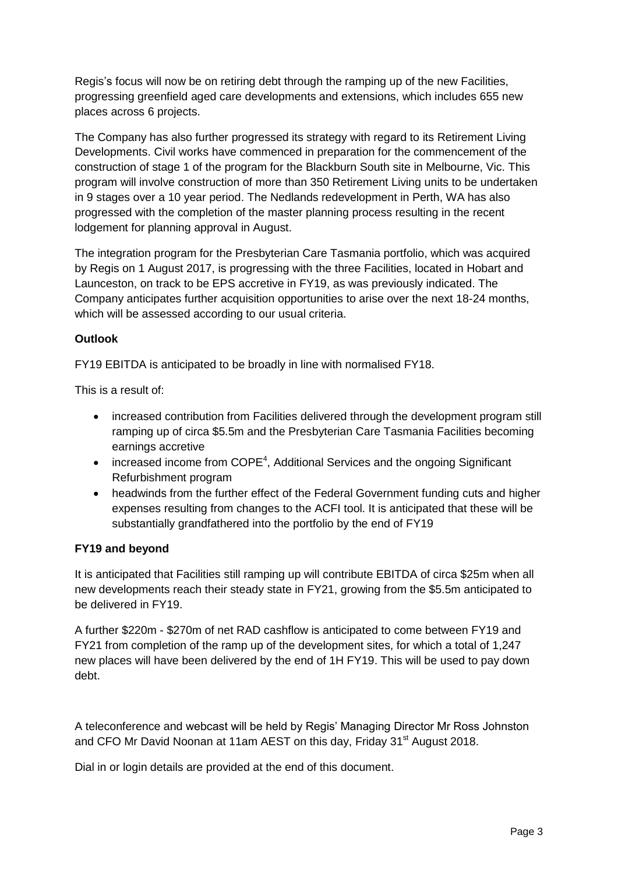Regis's focus will now be on retiring debt through the ramping up of the new Facilities, progressing greenfield aged care developments and extensions, which includes 655 new places across 6 projects.

The Company has also further progressed its strategy with regard to its Retirement Living Developments. Civil works have commenced in preparation for the commencement of the construction of stage 1 of the program for the Blackburn South site in Melbourne, Vic. This program will involve construction of more than 350 Retirement Living units to be undertaken in 9 stages over a 10 year period. The Nedlands redevelopment in Perth, WA has also progressed with the completion of the master planning process resulting in the recent lodgement for planning approval in August.

The integration program for the Presbyterian Care Tasmania portfolio, which was acquired by Regis on 1 August 2017, is progressing with the three Facilities, located in Hobart and Launceston, on track to be EPS accretive in FY19, as was previously indicated. The Company anticipates further acquisition opportunities to arise over the next 18-24 months, which will be assessed according to our usual criteria.

# **Outlook**

FY19 EBITDA is anticipated to be broadly in line with normalised FY18.

This is a result of:

- increased contribution from Facilities delivered through the development program still ramping up of circa \$5.5m and the Presbyterian Care Tasmania Facilities becoming earnings accretive
- increased income from COPE<sup>4</sup>, Additional Services and the ongoing Significant Refurbishment program
- headwinds from the further effect of the Federal Government funding cuts and higher expenses resulting from changes to the ACFI tool. It is anticipated that these will be substantially grandfathered into the portfolio by the end of FY19

# **FY19 and beyond**

It is anticipated that Facilities still ramping up will contribute EBITDA of circa \$25m when all new developments reach their steady state in FY21, growing from the \$5.5m anticipated to be delivered in FY19.

A further \$220m - \$270m of net RAD cashflow is anticipated to come between FY19 and FY21 from completion of the ramp up of the development sites, for which a total of 1,247 new places will have been delivered by the end of 1H FY19. This will be used to pay down debt.

A teleconference and webcast will be held by Regis' Managing Director Mr Ross Johnston and CFO Mr David Noonan at 11am AEST on this day, Friday 31<sup>st</sup> August 2018.

Dial in or login details are provided at the end of this document.